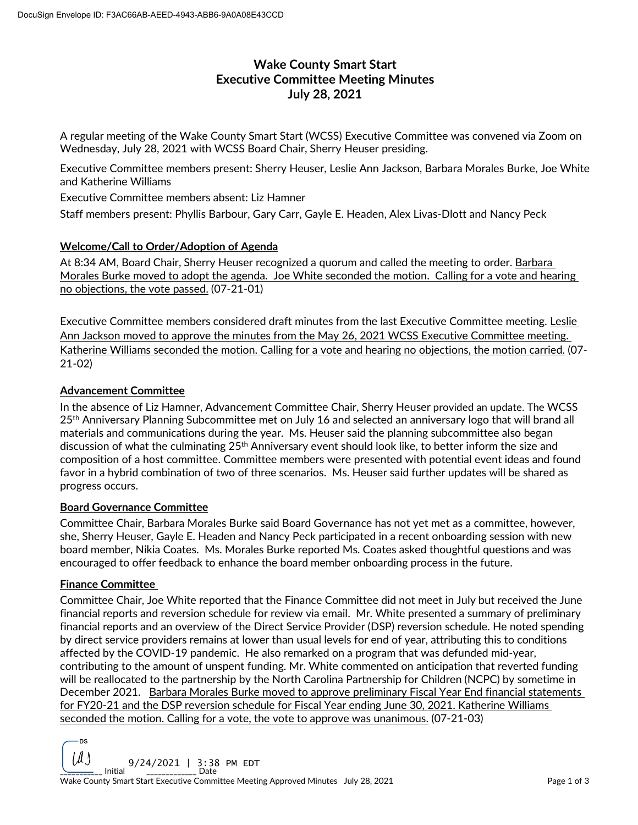# **Wake County Smart Start Executive Committee Meeting Minutes July 28, 2021**

A regular meeting of the Wake County Smart Start (WCSS) Executive Committee was convened via Zoom on Wednesday, July 28, 2021 with WCSS Board Chair, Sherry Heuser presiding.

Executive Committee members present: Sherry Heuser, Leslie Ann Jackson, Barbara Morales Burke, Joe White and Katherine Williams

Executive Committee members absent: Liz Hamner

Staff members present: Phyllis Barbour, Gary Carr, Gayle E. Headen, Alex Livas-Dlott and Nancy Peck

## **Welcome/Call to Order/Adoption of Agenda**

At 8:34 AM, Board Chair, Sherry Heuser recognized a quorum and called the meeting to order. Barbara Morales Burke moved to adopt the agenda. Joe White seconded the motion. Calling for a vote and hearing no objections, the vote passed. (07-21-01)

Executive Committee members considered draft minutes from the last Executive Committee meeting. Leslie Ann Jackson moved to approve the minutes from the May 26, 2021 WCSS Executive Committee meeting. Katherine Williams seconded the motion. Calling for a vote and hearing no objections, the motion carried. (07- 21-02)

## **Advancement Committee**

In the absence of Liz Hamner, Advancement Committee Chair, Sherry Heuser provided an update. The WCSS 25<sup>th</sup> Anniversary Planning Subcommittee met on July 16 and selected an anniversary logo that will brand all materials and communications during the year. Ms. Heuser said the planning subcommittee also began discussion of what the culminating 25<sup>th</sup> Anniversary event should look like, to better inform the size and composition of a host committee. Committee members were presented with potential event ideas and found favor in a hybrid combination of two of three scenarios. Ms. Heuser said further updates will be shared as progress occurs.

#### **Board Governance Committee**

Committee Chair, Barbara Morales Burke said Board Governance has not yet met as a committee, however, she, Sherry Heuser, Gayle E. Headen and Nancy Peck participated in a recent onboarding session with new board member, Nikia Coates. Ms. Morales Burke reported Ms. Coates asked thoughtful questions and was encouraged to offer feedback to enhance the board member onboarding process in the future.

#### **Finance Committee**

Committee Chair, Joe White reported that the Finance Committee did not meet in July but received the June financial reports and reversion schedule for review via email. Mr. White presented a summary of preliminary financial reports and an overview of the Direct Service Provider (DSP) reversion schedule. He noted spending by direct service providers remains at lower than usual levels for end of year, attributing this to conditions affected by the COVID-19 pandemic. He also remarked on a program that was defunded mid-year, contributing to the amount of unspent funding. Mr. White commented on anticipation that reverted funding will be reallocated to the partnership by the North Carolina Partnership for Children (NCPC) by sometime in December 2021. Barbara Morales Burke moved to approve preliminary Fiscal Year End financial statements for FY20-21 and the DSP reversion schedule for Fiscal Year ending June 30, 2021. Katherine Williams seconded the motion. Calling for a vote, the vote to approve was unanimous. (07-21-03)

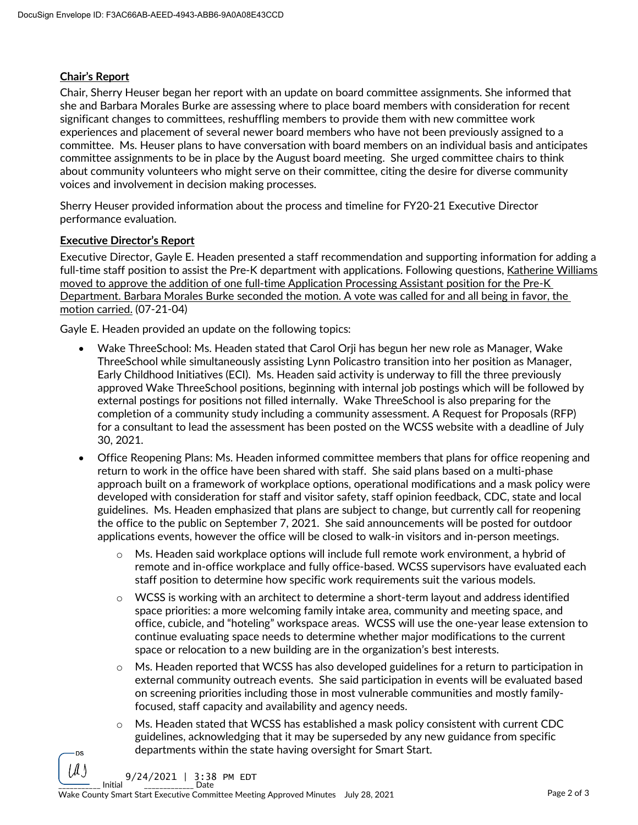# **Chair's Report**

Chair, Sherry Heuser began her report with an update on board committee assignments. She informed that she and Barbara Morales Burke are assessing where to place board members with consideration for recent significant changes to committees, reshuffling members to provide them with new committee work experiences and placement of several newer board members who have not been previously assigned to a committee. Ms. Heuser plans to have conversation with board members on an individual basis and anticipates committee assignments to be in place by the August board meeting. She urged committee chairs to think about community volunteers who might serve on their committee, citing the desire for diverse community voices and involvement in decision making processes.

Sherry Heuser provided information about the process and timeline for FY20-21 Executive Director performance evaluation.

## **Executive Director's Report**

Executive Director, Gayle E. Headen presented a staff recommendation and supporting information for adding a full-time staff position to assist the Pre-K department with applications. Following questions, Katherine Williams moved to approve the addition of one full-time Application Processing Assistant position for the Pre-K Department. Barbara Morales Burke seconded the motion. A vote was called for and all being in favor, the motion carried. (07-21-04)

Gayle E. Headen provided an update on the following topics:

- Wake ThreeSchool: Ms. Headen stated that Carol Orji has begun her new role as Manager, Wake ThreeSchool while simultaneously assisting Lynn Policastro transition into her position as Manager, Early Childhood Initiatives (ECI). Ms. Headen said activity is underway to fill the three previously approved Wake ThreeSchool positions, beginning with internal job postings which will be followed by external postings for positions not filled internally. Wake ThreeSchool is also preparing for the completion of a community study including a community assessment. A Request for Proposals (RFP) for a consultant to lead the assessment has been posted on the WCSS website with a deadline of July 30, 2021.
- Office Reopening Plans: Ms. Headen informed committee members that plans for office reopening and return to work in the office have been shared with staff. She said plans based on a multi-phase approach built on a framework of workplace options, operational modifications and a mask policy were developed with consideration for staff and visitor safety, staff opinion feedback, CDC, state and local guidelines. Ms. Headen emphasized that plans are subject to change, but currently call for reopening the office to the public on September 7, 2021. She said announcements will be posted for outdoor applications events, however the office will be closed to walk-in visitors and in-person meetings.
	- o Ms. Headen said workplace options will include full remote work environment, a hybrid of remote and in-office workplace and fully office-based. WCSS supervisors have evaluated each staff position to determine how specific work requirements suit the various models.
	- $\circ$  WCSS is working with an architect to determine a short-term layout and address identified space priorities: a more welcoming family intake area, community and meeting space, and office, cubicle, and "hoteling" workspace areas. WCSS will use the one-year lease extension to continue evaluating space needs to determine whether major modifications to the current space or relocation to a new building are in the organization's best interests.
	- Ms. Headen reported that WCSS has also developed guidelines for a return to participation in external community outreach events. She said participation in events will be evaluated based on screening priorities including those in most vulnerable communities and mostly familyfocused, staff capacity and availability and agency needs.
	- $\circ$  Ms. Headen stated that WCSS has established a mask policy consistent with current CDC guidelines, acknowledging that it may be superseded by any new guidance from specific departments within the state having oversight for Smart Start.

 $\frac{1}{2}$  Initial  $\frac{1}{2}$   $\frac{1}{2}$   $\frac{1}{2}$   $\frac{1}{2}$   $\frac{1}{2}$   $\frac{1}{2}$   $\frac{1}{2}$   $\frac{1}{2}$   $\frac{1}{2}$   $\frac{1}{2}$ 9/24/2021 | 3:38 PM EDT

DS II I